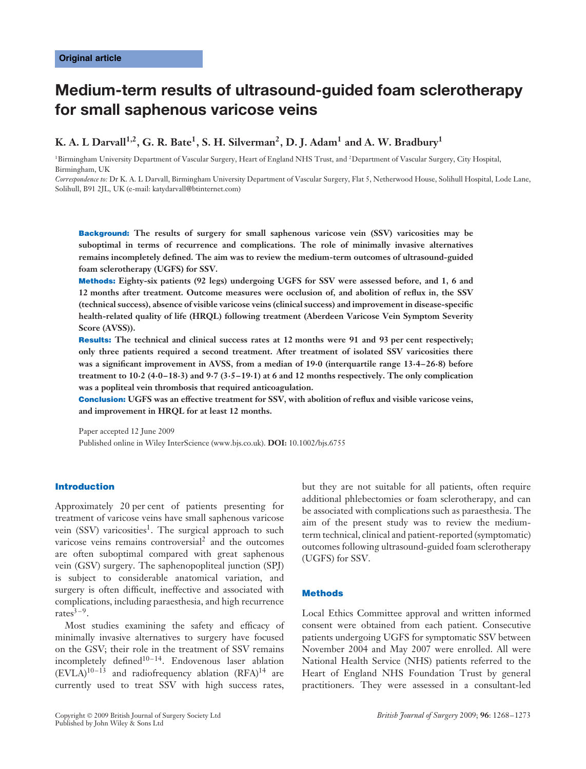# **Medium-term results of ultrasound-guided foam sclerotherapy for small saphenous varicose veins**

## **K. A. L Darvall1,2, G. R. Bate1, S. H. Silverman2, D. J. Adam1 and A. W. Bradbury1**

<sup>1</sup>Birmingham University Department of Vascular Surgery, Heart of England NHS Trust, and <sup>2</sup>Department of Vascular Surgery, City Hospital, Birmingham, UK

*Correspondence to:* Dr K. A. L Darvall, Birmingham University Department of Vascular Surgery, Flat 5, Netherwood House, Solihull Hospital, Lode Lane, Solihull, B91 2JL, UK (e-mail: katydarvall@btinternet.com)

**Background: The results of surgery for small saphenous varicose vein (SSV) varicosities may be suboptimal in terms of recurrence and complications. The role of minimally invasive alternatives remains incompletely defined. The aim was to review the medium-term outcomes of ultrasound-guided foam sclerotherapy (UGFS) for SSV.**

**Methods: Eighty-six patients (92 legs) undergoing UGFS for SSV were assessed before, and 1, 6 and 12 months after treatment. Outcome measures were occlusion of, and abolition of reflux in, the SSV (technical success), absence of visible varicose veins (clinical success) and improvement in disease-specific health-related quality of life (HRQL) following treatment (Aberdeen Varicose Vein Symptom Severity Score (AVSS)).**

**Results: The technical and clinical success rates at 12 months were 91 and 93 per cent respectively; only three patients required a second treatment. After treatment of isolated SSV varicosities there was a significant improvement in AVSS, from a median of 19·0 (interquartile range 13·4–26·8) before treatment to 10·2 (4·0–18·3) and 9·7 (3·5–19·1) at 6 and 12 months respectively. The only complication was a popliteal vein thrombosis that required anticoagulation.**

**Conclusion: UGFS was an effective treatment for SSV, with abolition of reflux and visible varicose veins, and improvement in HRQL for at least 12 months.**

Paper accepted 12 June 2009 Published online in Wiley InterScience (www.bjs.co.uk). **DOI:** 10.1002/bjs.6755

## **Introduction**

Approximately 20 per cent of patients presenting for treatment of varicose veins have small saphenous varicose vein  $(SSV)$  varicosities<sup>1</sup>. The surgical approach to such varicose veins remains controversial<sup>2</sup> and the outcomes are often suboptimal compared with great saphenous vein (GSV) surgery. The saphenopopliteal junction (SPJ) is subject to considerable anatomical variation, and surgery is often difficult, ineffective and associated with complications, including paraesthesia, and high recurrence rates $3-9$ .

Most studies examining the safety and efficacy of minimally invasive alternatives to surgery have focused on the GSV; their role in the treatment of SSV remains incompletely defined $10-14$ . Endovenous laser ablation  $(EVLA)^{10-13}$  and radiofrequency ablation  $(RFA)^{14}$  are currently used to treat SSV with high success rates,

but they are not suitable for all patients, often require additional phlebectomies or foam sclerotherapy, and can be associated with complications such as paraesthesia. The aim of the present study was to review the mediumterm technical, clinical and patient-reported (symptomatic) outcomes following ultrasound-guided foam sclerotherapy (UGFS) for SSV.

## **Methods**

Local Ethics Committee approval and written informed consent were obtained from each patient. Consecutive patients undergoing UGFS for symptomatic SSV between November 2004 and May 2007 were enrolled. All were National Health Service (NHS) patients referred to the Heart of England NHS Foundation Trust by general practitioners. They were assessed in a consultant-led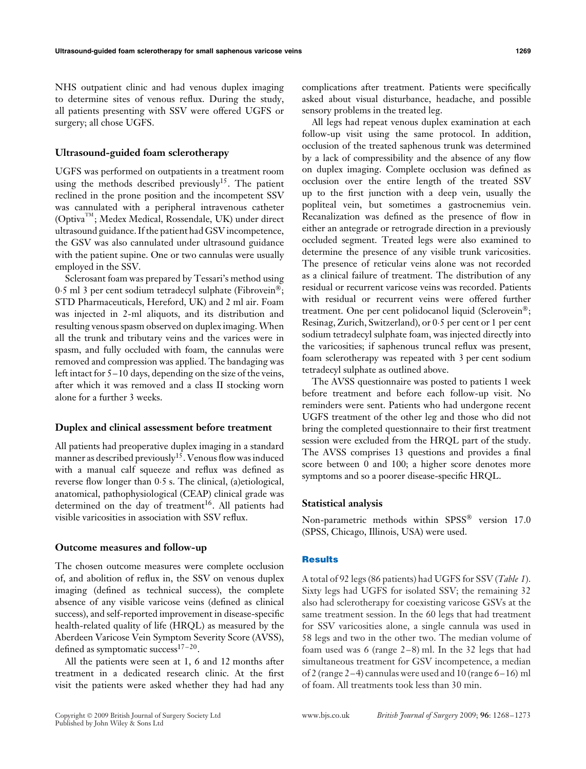NHS outpatient clinic and had venous duplex imaging to determine sites of venous reflux. During the study, all patients presenting with SSV were offered UGFS or surgery; all chose UGFS.

#### **Ultrasound-guided foam sclerotherapy**

UGFS was performed on outpatients in a treatment room using the methods described previously<sup>15</sup>. The patient reclined in the prone position and the incompetent SSV was cannulated with a peripheral intravenous catheter (OptivaTM ; Medex Medical, Rossendale, UK) under direct ultrasound guidance. If the patient had GSV incompetence, the GSV was also cannulated under ultrasound guidance with the patient supine. One or two cannulas were usually employed in the SSV.

Sclerosant foam was prepared by Tessari's method using 0.5 ml 3 per cent sodium tetradecyl sulphate (Fibrovein®; STD Pharmaceuticals, Hereford, UK) and 2 ml air. Foam was injected in 2-ml aliquots, and its distribution and resulting venous spasm observed on duplex imaging. When all the trunk and tributary veins and the varices were in spasm, and fully occluded with foam, the cannulas were removed and compression was applied. The bandaging was left intact for 5–10 days, depending on the size of the veins, after which it was removed and a class II stocking worn alone for a further 3 weeks.

## **Duplex and clinical assessment before treatment**

All patients had preoperative duplex imaging in a standard manner as described previously<sup>15</sup>. Venous flow was induced with a manual calf squeeze and reflux was defined as reverse flow longer than 0·5 s. The clinical, (a)etiological, anatomical, pathophysiological (CEAP) clinical grade was determined on the day of treatment<sup>16</sup>. All patients had visible varicosities in association with SSV reflux.

## **Outcome measures and follow-up**

The chosen outcome measures were complete occlusion of, and abolition of reflux in, the SSV on venous duplex imaging (defined as technical success), the complete absence of any visible varicose veins (defined as clinical success), and self-reported improvement in disease-specific health-related quality of life (HRQL) as measured by the Aberdeen Varicose Vein Symptom Severity Score (AVSS), defined as symptomatic success<sup>17-20</sup>.

All the patients were seen at 1, 6 and 12 months after treatment in a dedicated research clinic. At the first visit the patients were asked whether they had had any complications after treatment. Patients were specifically asked about visual disturbance, headache, and possible sensory problems in the treated leg.

All legs had repeat venous duplex examination at each follow-up visit using the same protocol. In addition, occlusion of the treated saphenous trunk was determined by a lack of compressibility and the absence of any flow on duplex imaging. Complete occlusion was defined as occlusion over the entire length of the treated SSV up to the first junction with a deep vein, usually the popliteal vein, but sometimes a gastrocnemius vein. Recanalization was defined as the presence of flow in either an antegrade or retrograde direction in a previously occluded segment. Treated legs were also examined to determine the presence of any visible trunk varicosities. The presence of reticular veins alone was not recorded as a clinical failure of treatment. The distribution of any residual or recurrent varicose veins was recorded. Patients with residual or recurrent veins were offered further treatment. One per cent polidocanol liquid (Sclerovein®; Resinag, Zurich, Switzerland), or 0·5 per cent or 1 per cent sodium tetradecyl sulphate foam, was injected directly into the varicosities; if saphenous truncal reflux was present, foam sclerotherapy was repeated with 3 per cent sodium tetradecyl sulphate as outlined above.

The AVSS questionnaire was posted to patients 1 week before treatment and before each follow-up visit. No reminders were sent. Patients who had undergone recent UGFS treatment of the other leg and those who did not bring the completed questionnaire to their first treatment session were excluded from the HRQL part of the study. The AVSS comprises 13 questions and provides a final score between 0 and 100; a higher score denotes more symptoms and so a poorer disease-specific HRQL.

## **Statistical analysis**

Non-parametric methods within SPSS® version 17.0 (SPSS, Chicago, Illinois, USA) were used.

## **Results**

A total of 92 legs (86 patients) had UGFS for SSV (*Table 1*). Sixty legs had UGFS for isolated SSV; the remaining 32 also had sclerotherapy for coexisting varicose GSVs at the same treatment session. In the 60 legs that had treatment for SSV varicosities alone, a single cannula was used in 58 legs and two in the other two. The median volume of foam used was 6 (range 2–8) ml. In the 32 legs that had simultaneous treatment for GSV incompetence, a median of 2 (range 2–4) cannulas were used and 10 (range 6–16) ml of foam. All treatments took less than 30 min.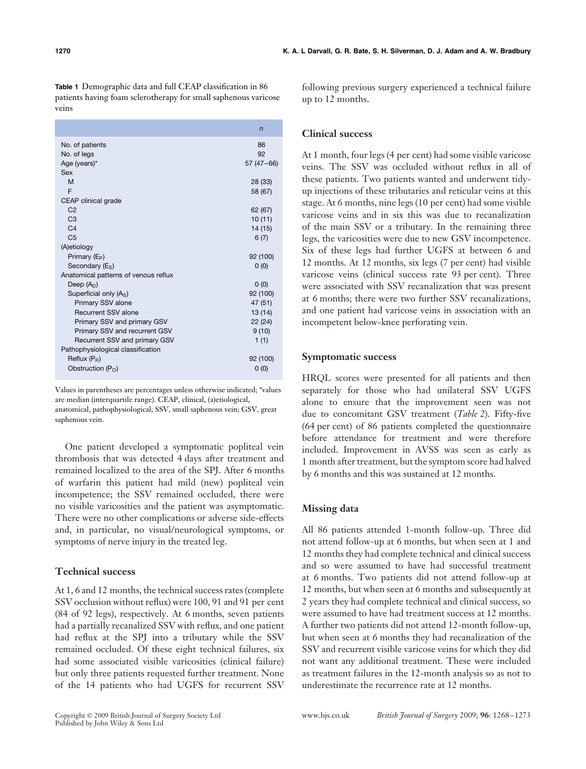**Table 1** Demographic data and full CEAP classification in 86 patients having foam sclerotherapy for small saphenous varicose veins

|                                      | n           |
|--------------------------------------|-------------|
| No. of patients                      | 86          |
| No. of legs                          | 92          |
| Age (years)*                         | $57(47-66)$ |
| Sex                                  |             |
| M                                    | 28 (33)     |
| F                                    | 58 (67)     |
| CEAP clinical grade                  |             |
| C <sub>2</sub>                       | 62 (67)     |
| C <sub>3</sub>                       | 10(11)      |
| C <sub>4</sub>                       | 14 (15)     |
| C <sub>5</sub>                       | 6(7)        |
| (A)etiology                          |             |
| Primary (E <sub>P</sub> )            | 92 (100)    |
| Secondary $(ES)$                     | 0(0)        |
| Anatomical patterns of venous reflux |             |
| Deep $(AD)$                          | 0(0)        |
| Superficial only (As)                | 92 (100)    |
| Primary SSV alone                    | 47 (51)     |
| Recurrent SSV alone                  | 13(14)      |
| Primary SSV and primary GSV          | 22(24)      |
| Primary SSV and recurrent GSV        | 9(10)       |
| Recurrent SSV and primary GSV        | 1(1)        |
| Pathophysiological classification    |             |
| Reflux $(P_R)$                       | 92 (100)    |
| Obstruction $(P_0)$                  | 0(0)        |

Values in parentheses are percentages unless otherwise indicated; \*values are median (interquartile range). CEAP, clinical, (a)etiological, anatomical, pathophysiological; SSV, small saphenous vein; GSV, great saphenous vein.

One patient developed a symptomatic popliteal vein thrombosis that was detected 4 days after treatment and remained localized to the area of the SPJ. After 6 months of warfarin this patient had mild (new) popliteal vein incompetence; the SSV remained occluded, there were no visible varicosities and the patient was asymptomatic. There were no other complications or adverse side-effects and, in particular, no visual/neurological symptoms, or symptoms of nerve injury in the treated leg.

## **Technical success**

At 1, 6 and 12 months, the technical success rates (complete SSV occlusion without reflux) were 100, 91 and 91 per cent (84 of 92 legs), respectively. At 6 months, seven patients had a partially recanalized SSV with reflux, and one patient had reflux at the SPJ into a tributary while the SSV remained occluded. Of these eight technical failures, six had some associated visible varicosities (clinical failure) but only three patients requested further treatment. None of the 14 patients who had UGFS for recurrent SSV

following previous surgery experienced a technical failure up to 12 months.

## **Clinical success**

At 1 month, four legs (4 per cent) had some visible varicose veins. The SSV was occluded without reflux in all of these patients. Two patients wanted and underwent tidyup injections of these tributaries and reticular veins at this stage. At 6 months, nine legs (10 per cent) had some visible varicose veins and in six this was due to recanalization of the main SSV or a tributary. In the remaining three legs, the varicosities were due to new GSV incompetence. Six of these legs had further UGFS at between 6 and 12 months. At 12 months, six legs (7 per cent) had visible varicose veins (clinical success rate 93 per cent). Three were associated with SSV recanalization that was present at 6 months; there were two further SSV recanalizations, and one patient had varicose veins in association with an incompetent below-knee perforating vein.

## **Symptomatic success**

HRQL scores were presented for all patients and then separately for those who had unilateral SSV UGFS alone to ensure that the improvement seen was not due to concomitant GSV treatment (*Table 2*). Fifty-five (64 per cent) of 86 patients completed the questionnaire before attendance for treatment and were therefore included. Improvement in AVSS was seen as early as 1 month after treatment, but the symptom score had halved by 6 months and this was sustained at 12 months.

## **Missing data**

All 86 patients attended 1-month follow-up. Three did not attend follow-up at 6 months, but when seen at 1 and 12 months they had complete technical and clinical success and so were assumed to have had successful treatment at 6 months. Two patients did not attend follow-up at 12 months, but when seen at 6 months and subsequently at 2 years they had complete technical and clinical success, so were assumed to have had treatment success at 12 months. A further two patients did not attend 12-month follow-up, but when seen at 6 months they had recanalization of the SSV and recurrent visible varicose veins for which they did not want any additional treatment. These were included as treatment failures in the 12-month analysis so as not to underestimate the recurrence rate at 12 months.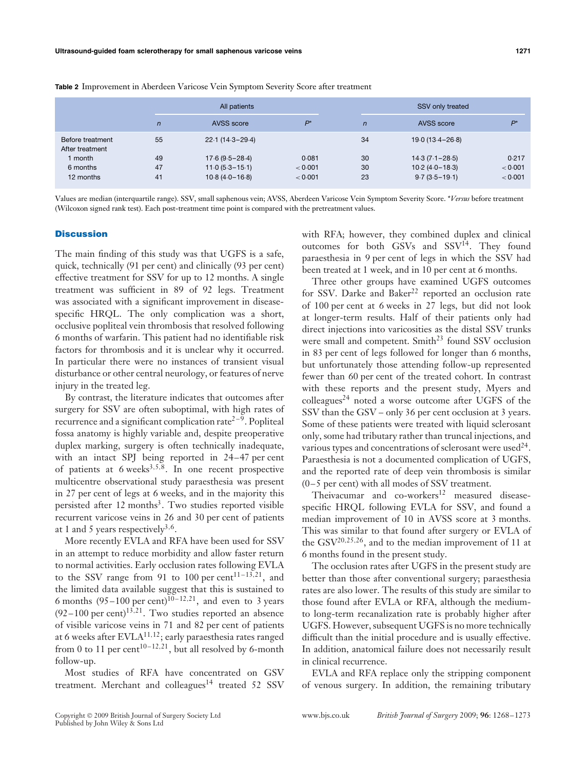|                                     |                | All patients        |         |                | SSV only treated    |         |  |
|-------------------------------------|----------------|---------------------|---------|----------------|---------------------|---------|--|
|                                     | $\overline{n}$ | AVSS score          | $P^*$   | $\overline{n}$ | AVSS score          | $P^*$   |  |
| Before treatment<br>After treatment | 55             | $22.1(14.3 - 29.4)$ |         | 34             | $19.0(13.4 - 26.8)$ |         |  |
| 1 month                             | 49             | $17.6(9.5 - 28.4)$  | 0.081   | 30             | $14.3(7.1 - 28.5)$  | 0.217   |  |
| 6 months                            | 47             | $11.0(5.3 - 15.1)$  | < 0.001 | 30             | $10.2(4.0 - 18.3)$  | < 0.001 |  |
| 12 months                           | 41             | $10.8(4.0 - 16.8)$  | < 0.001 | 23             | $9.7(3.5 - 19.1)$   | < 0.001 |  |

**Table 2** Improvement in Aberdeen Varicose Vein Symptom Severity Score after treatment

Values are median (interquartile range). SSV, small saphenous vein; AVSS, Aberdeen Varicose Vein Symptom Severity Score. \**Versus* before treatment (Wilcoxon signed rank test). Each post-treatment time point is compared with the pretreatment values.

#### **Discussion**

The main finding of this study was that UGFS is a safe, quick, technically (91 per cent) and clinically (93 per cent) effective treatment for SSV for up to 12 months. A single treatment was sufficient in 89 of 92 legs. Treatment was associated with a significant improvement in diseasespecific HRQL. The only complication was a short, occlusive popliteal vein thrombosis that resolved following 6 months of warfarin. This patient had no identifiable risk factors for thrombosis and it is unclear why it occurred. In particular there were no instances of transient visual disturbance or other central neurology, or features of nerve injury in the treated leg.

By contrast, the literature indicates that outcomes after surgery for SSV are often suboptimal, with high rates of recurrence and a significant complication rate<sup> $2-9$ </sup>. Popliteal fossa anatomy is highly variable and, despite preoperative duplex marking, surgery is often technically inadequate, with an intact SPJ being reported in 24–47 per cent of patients at 6 weeks3*,*5*,*8. In one recent prospective multicentre observational study paraesthesia was present in 27 per cent of legs at 6 weeks, and in the majority this persisted after 12 months<sup>3</sup>. Two studies reported visible recurrent varicose veins in 26 and 30 per cent of patients at 1 and 5 years respectively3*,*6.

More recently EVLA and RFA have been used for SSV in an attempt to reduce morbidity and allow faster return to normal activities. Early occlusion rates following EVLA to the SSV range from 91 to 100 per cent<sup>11-13,21</sup>, and the limited data available suggest that this is sustained to 6 months  $(95-100 \text{ per cent})^{10-12,21}$ , and even to 3 years  $(92-100 \text{ per cent})$ <sup>13,21</sup>. Two studies reported an absence of visible varicose veins in 71 and 82 per cent of patients at 6 weeks after EVLA11*,*12; early paraesthesia rates ranged from 0 to 11 per cent<sup>10-12,21</sup>, but all resolved by 6-month follow-up.

Most studies of RFA have concentrated on GSV treatment. Merchant and colleagues<sup>14</sup> treated 52 SSV

with RFA; however, they combined duplex and clinical outcomes for both GSVs and SSV<sup>14</sup>. They found paraesthesia in 9 per cent of legs in which the SSV had been treated at 1 week, and in 10 per cent at 6 months.

Three other groups have examined UGFS outcomes for SSV. Darke and Baker<sup>22</sup> reported an occlusion rate of 100 per cent at 6 weeks in 27 legs, but did not look at longer-term results. Half of their patients only had direct injections into varicosities as the distal SSV trunks were small and competent. Smith<sup>23</sup> found SSV occlusion in 83 per cent of legs followed for longer than 6 months, but unfortunately those attending follow-up represented fewer than 60 per cent of the treated cohort. In contrast with these reports and the present study, Myers and  $\text{colleagues}^{24}$  noted a worse outcome after UGFS of the SSV than the GSV – only 36 per cent occlusion at 3 years. Some of these patients were treated with liquid sclerosant only, some had tributary rather than truncal injections, and various types and concentrations of sclerosant were used  $44$ . Paraesthesia is not a documented complication of UGFS, and the reported rate of deep vein thrombosis is similar (0–5 per cent) with all modes of SSV treatment.

Theivacumar and  $\cos^{-12}$  measured diseasespecific HRQL following EVLA for SSV, and found a median improvement of 10 in AVSS score at 3 months. This was similar to that found after surgery or EVLA of the GSV20*,*25*,*26, and to the median improvement of 11 at 6 months found in the present study.

The occlusion rates after UGFS in the present study are better than those after conventional surgery; paraesthesia rates are also lower. The results of this study are similar to those found after EVLA or RFA, although the mediumto long-term recanalization rate is probably higher after UGFS. However, subsequent UGFS is no more technically difficult than the initial procedure and is usually effective. In addition, anatomical failure does not necessarily result in clinical recurrence.

EVLA and RFA replace only the stripping component of venous surgery. In addition, the remaining tributary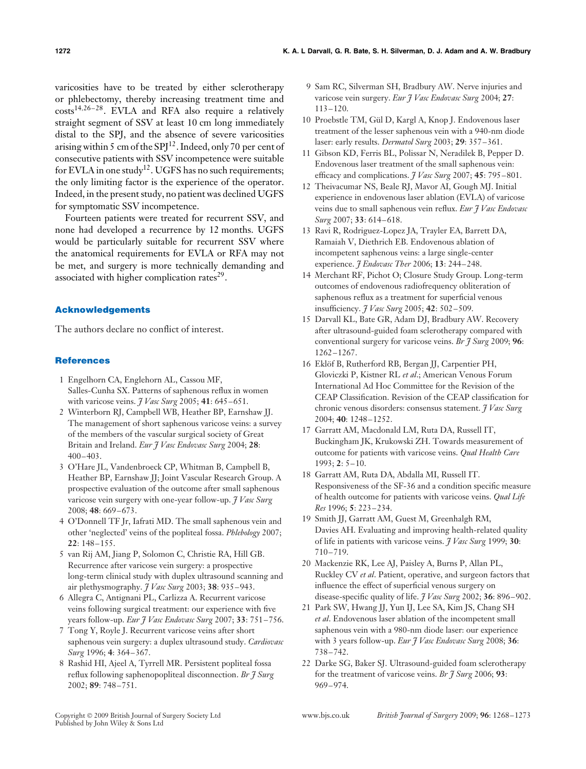varicosities have to be treated by either sclerotherapy or phlebectomy, thereby increasing treatment time and costs<sup>14,26-28</sup>. EVLA and RFA also require a relatively straight segment of SSV at least 10 cm long immediately distal to the SPJ, and the absence of severe varicosities arising within 5 cm of the SPJ $12$ . Indeed, only 70 per cent of consecutive patients with SSV incompetence were suitable for EVLA in one study<sup>12</sup>. UGFS has no such requirements; the only limiting factor is the experience of the operator. Indeed, in the present study, no patient was declined UGFS for symptomatic SSV incompetence.

Fourteen patients were treated for recurrent SSV, and none had developed a recurrence by 12 months. UGFS would be particularly suitable for recurrent SSV where the anatomical requirements for EVLA or RFA may not be met, and surgery is more technically demanding and associated with higher complication rates $2^9$ .

## **Acknowledgements**

The authors declare no conflict of interest.

#### **References**

- 1 Engelhorn CA, Englehorn AL, Cassou MF, Salles-Cunha SX. Patterns of saphenous reflux in women with varicose veins. *J Vasc Surg* 2005; **41**: 645–651.
- 2 Winterborn RJ, Campbell WB, Heather BP, Earnshaw JJ. The management of short saphenous varicose veins: a survey of the members of the vascular surgical society of Great Britain and Ireland. *Eur J Vasc Endovasc Surg* 2004; **28**: 400–403.
- 3 O'Hare JL, Vandenbroeck CP, Whitman B, Campbell B, Heather BP, Earnshaw JJ; Joint Vascular Research Group. A prospective evaluation of the outcome after small saphenous varicose vein surgery with one-year follow-up. *J Vasc Surg* 2008; **48**: 669–673.
- 4 O'Donnell TF Jr, Iafrati MD. The small saphenous vein and other 'neglected' veins of the popliteal fossa. *Phlebology* 2007; **22**: 148–155.
- 5 van Rij AM, Jiang P, Solomon C, Christie RA, Hill GB. Recurrence after varicose vein surgery: a prospective long-term clinical study with duplex ultrasound scanning and air plethysmography. *J Vasc Surg* 2003; **38**: 935–943.
- 6 Allegra C, Antignani PL, Carlizza A. Recurrent varicose veins following surgical treatment: our experience with five years follow-up. *Eur J Vasc Endovasc Surg* 2007; **33**: 751–756.
- 7 Tong Y, Royle J. Recurrent varicose veins after short saphenous vein surgery: a duplex ultrasound study. *Cardiovasc Surg* 1996; **4**: 364–367.
- 8 Rashid HI, Ajeel A, Tyrrell MR. Persistent popliteal fossa reflux following saphenopopliteal disconnection. *Br J Surg* 2002; **89**: 748–751.
- 9 Sam RC, Silverman SH, Bradbury AW. Nerve injuries and varicose vein surgery. *Eur J Vasc Endovasc Surg* 2004; **27**: 113–120.
- 10 Proebstle TM, Gul D, Kargl A, Knop J. Endovenous laser ¨ treatment of the lesser saphenous vein with a 940-nm diode laser: early results. *Dermatol Surg* 2003; **29**: 357–361.
- 11 Gibson KD, Ferris BL, Polissar N, Neradilek B, Pepper D. Endovenous laser treatment of the small saphenous vein: efficacy and complications. *J Vasc Surg* 2007; **45**: 795–801.
- 12 Theivacumar NS, Beale RJ, Mavor AI, Gough MJ. Initial experience in endovenous laser ablation (EVLA) of varicose veins due to small saphenous vein reflux. *Eur J Vasc Endovasc Surg* 2007; **33**: 614–618.
- 13 Ravi R, Rodriguez-Lopez JA, Trayler EA, Barrett DA, Ramaiah V, Diethrich EB. Endovenous ablation of incompetent saphenous veins: a large single-center experience. *J Endovasc Ther* 2006; **13**: 244–248.
- 14 Merchant RF, Pichot O; Closure Study Group. Long-term outcomes of endovenous radiofrequency obliteration of saphenous reflux as a treatment for superficial venous insufficiency. *J Vasc Surg* 2005; **42**: 502–509.
- 15 Darvall KL, Bate GR, Adam DJ, Bradbury AW. Recovery after ultrasound-guided foam sclerotherapy compared with conventional surgery for varicose veins. *Br J Surg* 2009; **96**: 1262–1267.
- 16 Eklöf B, Rutherford RB, Bergan II, Carpentier PH, Gloviczki P, Kistner RL *et al*.; American Venous Forum International Ad Hoc Committee for the Revision of the CEAP Classification. Revision of the CEAP classification for chronic venous disorders: consensus statement. *J Vasc Surg* 2004; **40**: 1248–1252.
- 17 Garratt AM, Macdonald LM, Ruta DA, Russell IT, Buckingham JK, Krukowski ZH. Towards measurement of outcome for patients with varicose veins. *Qual Health Care* 1993; **2**: 5–10.
- 18 Garratt AM, Ruta DA, Abdalla MI, Russell IT. Responsiveness of the SF-36 and a condition specific measure of health outcome for patients with varicose veins. *Qual Life Res* 1996; **5**: 223–234.
- 19 Smith JJ, Garratt AM, Guest M, Greenhalgh RM, Davies AH. Evaluating and improving health-related quality of life in patients with varicose veins. *J Vasc Surg* 1999; **30**: 710–719.
- 20 Mackenzie RK, Lee AJ, Paisley A, Burns P, Allan PL, Ruckley CV *et al*. Patient, operative, and surgeon factors that influence the effect of superficial venous surgery on disease-specific quality of life. *J Vasc Surg* 2002; **36**: 896–902.
- 21 Park SW, Hwang JJ, Yun IJ, Lee SA, Kim JS, Chang SH *et al*. Endovenous laser ablation of the incompetent small saphenous vein with a 980-nm diode laser: our experience with 3 years follow-up. *Eur J Vasc Endovasc Surg* 2008; **36**: 738–742.
- 22 Darke SG, Baker SJ. Ultrasound-guided foam sclerotherapy for the treatment of varicose veins. *Br J Surg* 2006; **93**: 969–974.